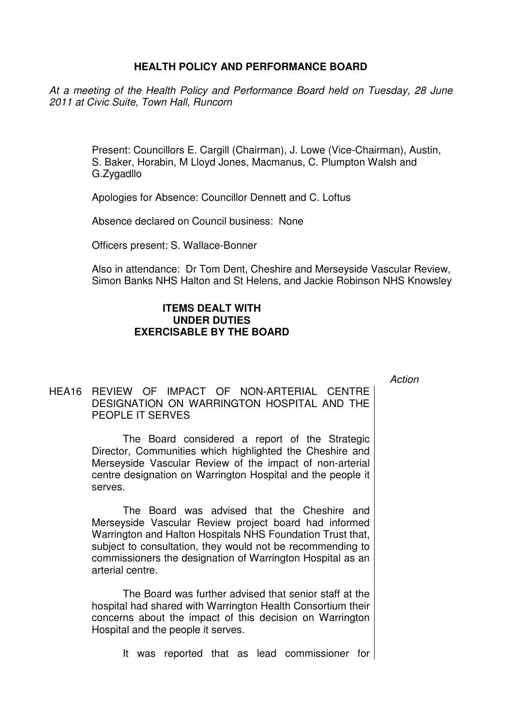## **HEALTH POLICY AND PERFORMANCE BOARD**

At a meeting of the Health Policy and Performance Board held on Tuesday, 28 June 2011 at Civic Suite, Town Hall, Runcorn

> Present: Councillors E. Cargill (Chairman), J. Lowe (Vice-Chairman), Austin, S. Baker, Horabin, M Lloyd Jones, Macmanus, C. Plumpton Walsh and G.Zygadllo

Apologies for Absence: Councillor Dennett and C. Loftus

Absence declared on Council business: None

Officers present: S. Wallace-Bonner

Also in attendance: Dr Tom Dent, Cheshire and Merseyside Vascular Review, Simon Banks NHS Halton and St Helens, and Jackie Robinson NHS Knowsley

## **ITEMS DEALT WITH UNDER DUTIES EXERCISABLE BY THE BOARD**

Action

## HEA16 REVIEW OF IMPACT OF NON-ARTERIAL CENTRE DESIGNATION ON WARRINGTON HOSPITAL AND THE PEOPLE IT SERVES

 The Board considered a report of the Strategic Director, Communities which highlighted the Cheshire and Merseyside Vascular Review of the impact of non-arterial centre designation on Warrington Hospital and the people it serves.

The Board was advised that the Cheshire and Merseyside Vascular Review project board had informed Warrington and Halton Hospitals NHS Foundation Trust that, subject to consultation, they would not be recommending to commissioners the designation of Warrington Hospital as an arterial centre.

The Board was further advised that senior staff at the hospital had shared with Warrington Health Consortium their concerns about the impact of this decision on Warrington Hospital and the people it serves.

It was reported that as lead commissioner for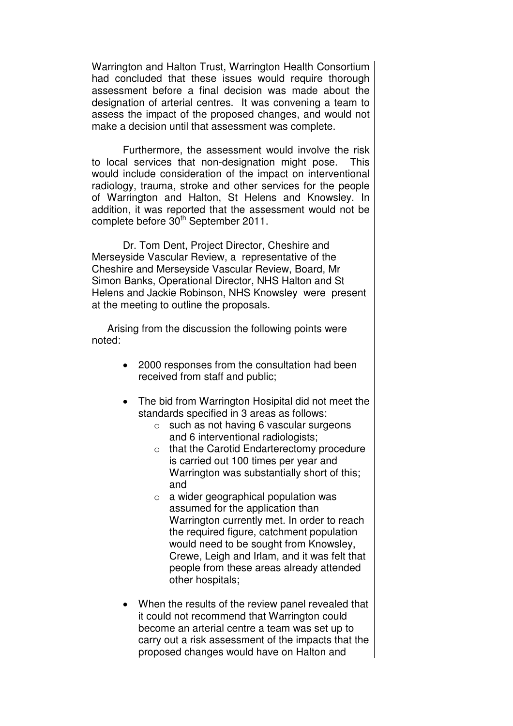Warrington and Halton Trust, Warrington Health Consortium had concluded that these issues would require thorough assessment before a final decision was made about the designation of arterial centres. It was convening a team to assess the impact of the proposed changes, and would not make a decision until that assessment was complete.

Furthermore, the assessment would involve the risk to local services that non-designation might pose. This would include consideration of the impact on interventional radiology, trauma, stroke and other services for the people of Warrington and Halton, St Helens and Knowsley. In addition, it was reported that the assessment would not be complete before 30<sup>th</sup> September 2011.

 Dr. Tom Dent, Project Director, Cheshire and Merseyside Vascular Review, a representative of the Cheshire and Merseyside Vascular Review, Board, Mr Simon Banks, Operational Director, NHS Halton and St Helens and Jackie Robinson, NHS Knowsley were present at the meeting to outline the proposals.

Arising from the discussion the following points were noted:

- 2000 responses from the consultation had been received from staff and public;
- The bid from Warrington Hosipital did not meet the standards specified in 3 areas as follows:
	- o such as not having 6 vascular surgeons and 6 interventional radiologists;
	- o that the Carotid Endarterectomy procedure is carried out 100 times per year and Warrington was substantially short of this; and
	- $\circ$  a wider geographical population was assumed for the application than Warrington currently met. In order to reach the required figure, catchment population would need to be sought from Knowsley, Crewe, Leigh and Irlam, and it was felt that people from these areas already attended other hospitals;
- When the results of the review panel revealed that it could not recommend that Warrington could become an arterial centre a team was set up to carry out a risk assessment of the impacts that the proposed changes would have on Halton and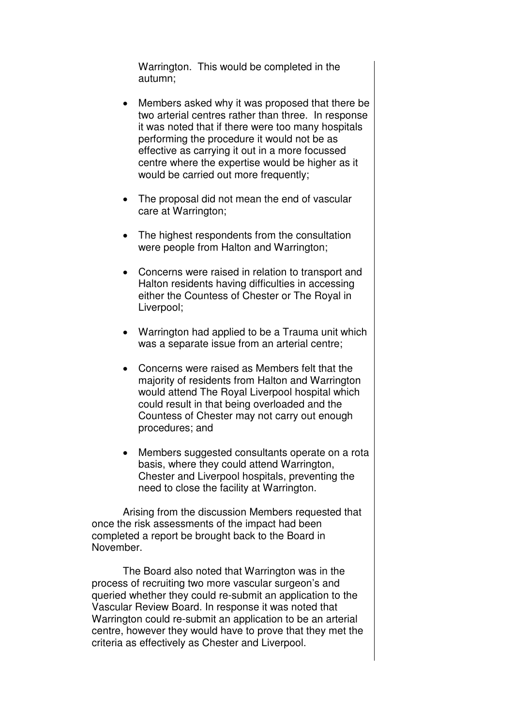Warrington. This would be completed in the autumn;

- Members asked why it was proposed that there be two arterial centres rather than three. In response it was noted that if there were too many hospitals performing the procedure it would not be as effective as carrying it out in a more focussed centre where the expertise would be higher as it would be carried out more frequently;
- The proposal did not mean the end of vascular care at Warrington;
- The highest respondents from the consultation were people from Halton and Warrington;
- Concerns were raised in relation to transport and Halton residents having difficulties in accessing either the Countess of Chester or The Royal in Liverpool;
- Warrington had applied to be a Trauma unit which was a separate issue from an arterial centre;
- Concerns were raised as Members felt that the majority of residents from Halton and Warrington would attend The Royal Liverpool hospital which could result in that being overloaded and the Countess of Chester may not carry out enough procedures; and
- Members suggested consultants operate on a rota basis, where they could attend Warrington, Chester and Liverpool hospitals, preventing the need to close the facility at Warrington.

Arising from the discussion Members requested that once the risk assessments of the impact had been completed a report be brought back to the Board in November.

The Board also noted that Warrington was in the process of recruiting two more vascular surgeon's and queried whether they could re-submit an application to the Vascular Review Board. In response it was noted that Warrington could re-submit an application to be an arterial centre, however they would have to prove that they met the criteria as effectively as Chester and Liverpool.